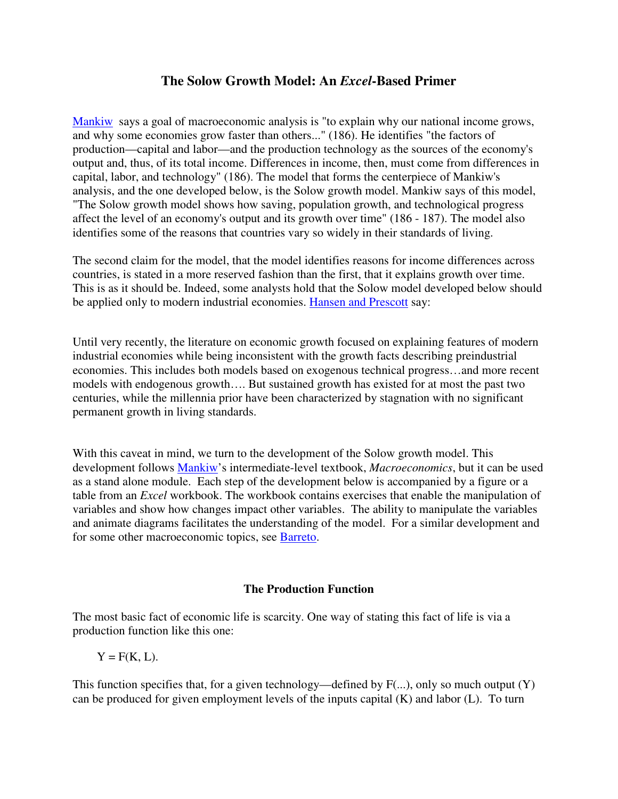# **The Solow Growth Model: An** *Excel***-Based Primer**

Mankiw says a goal of macroeconomic analysis is "to explain why our national income grows, and why some economies grow faster than others..." (186). He identifies "the factors of production—capital and labor—and the production technology as the sources of the economy's output and, thus, of its total income. Differences in income, then, must come from differences in capital, labor, and technology" (186). The model that forms the centerpiece of Mankiw's analysis, and the one developed below, is the Solow growth model. Mankiw says of this model, "The Solow growth model shows how saving, population growth, and technological progress affect the level of an economy's output and its growth over time" (186 - 187). The model also identifies some of the reasons that countries vary so widely in their standards of living.

The second claim for the model, that the model identifies reasons for income differences across countries, is stated in a more reserved fashion than the first, that it explains growth over time. This is as it should be. Indeed, some analysts hold that the Solow model developed below should be applied only to modern industrial economies. Hansen and Prescott say:

Until very recently, the literature on economic growth focused on explaining features of modern industrial economies while being inconsistent with the growth facts describing preindustrial economies. This includes both models based on exogenous technical progress…and more recent models with endogenous growth…. But sustained growth has existed for at most the past two centuries, while the millennia prior have been characterized by stagnation with no significant permanent growth in living standards.

With this caveat in mind, we turn to the development of the Solow growth model. This development follows Mankiw's intermediate-level textbook, *Macroeconomics*, but it can be used as a stand alone module. Each step of the development below is accompanied by a figure or a table from an *Excel* workbook. The workbook contains exercises that enable the manipulation of variables and show how changes impact other variables. The ability to manipulate the variables and animate diagrams facilitates the understanding of the model. For a similar development and for some other macroeconomic topics, see Barreto.

### **The Production Function**

The most basic fact of economic life is scarcity. One way of stating this fact of life is via a production function like this one:

 $Y = F(K, L)$ .

This function specifies that, for a given technology—defined by  $F(...)$ , only so much output  $(Y)$ can be produced for given employment levels of the inputs capital (K) and labor (L). To turn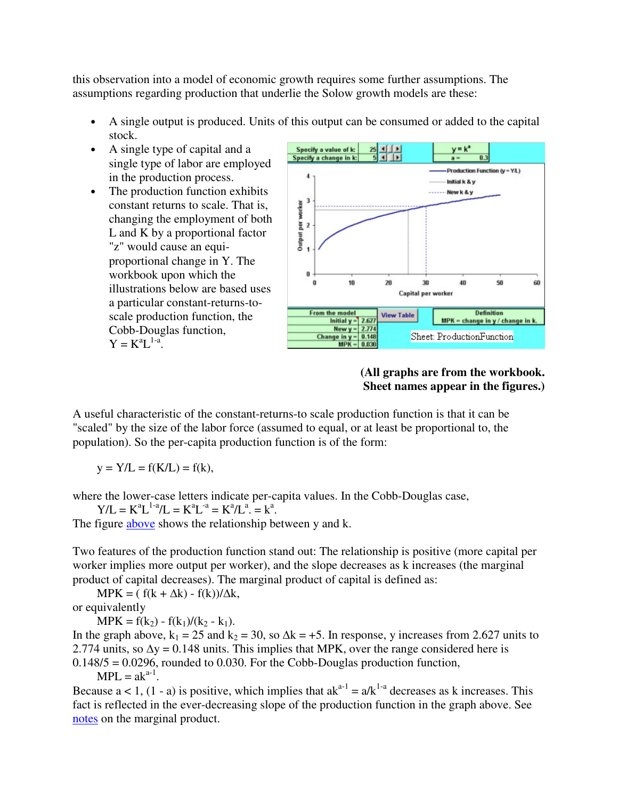this observation into a model of economic growth requires some further assumptions. The assumptions regarding production that underlie the Solow growth models are these:

- A single output is produced. Units of this output can be consumed or added to the capital stock.
- A single type of capital and a single type of labor are employed in the production process.
- The production function exhibits constant returns to scale. That is, changing the employment of both L and K by a proportional factor "z" would cause an equiproportional change in Y. The workbook upon which the illustrations below are based uses a particular constant-returns-toscale production function, the Cobb-Douglas function,  $Y = K^a L^{1-a}$ .



# **(All graphs are from the workbook. Sheet names appear in the figures.)**

A useful characteristic of the constant-returns-to scale production function is that it can be "scaled" by the size of the labor force (assumed to equal, or at least be proportional to, the population). So the per-capita production function is of the form:

 $y = Y/L = f(K/L) = f(k),$ 

where the lower-case letters indicate per-capita values. In the Cobb-Douglas case,

 $Y/L = K^a L^{1-a}/L = K^a L^{-a} = K^a/L^a = k^a$ .

The figure above shows the relationship between y and k.

Two features of the production function stand out: The relationship is positive (more capital per worker implies more output per worker), and the slope decreases as k increases (the marginal product of capital decreases). The marginal product of capital is defined as:

 $MPK = ( f(k + \Delta k) - f(k))/\Delta k,$ 

or equivalently

 $MPK = f(k_2) - f(k_1)/(k_2 - k_1).$ 

In the graph above,  $k_1 = 25$  and  $k_2 = 30$ , so  $\Delta k = +5$ . In response, y increases from 2.627 units to 2.774 units, so  $\Delta y = 0.148$  units. This implies that MPK, over the range considered here is  $0.148/5 = 0.0296$ , rounded to 0.030. For the Cobb-Douglas production function,

 $MPL = ak^{a-1}$ .

Because  $a < 1$ ,  $(1 - a)$  is positive, which implies that  $ak^{a-1} = a/k^{1-a}$  decreases as k increases. This fact is reflected in the ever-decreasing slope of the production function in the graph above. See notes on the marginal product.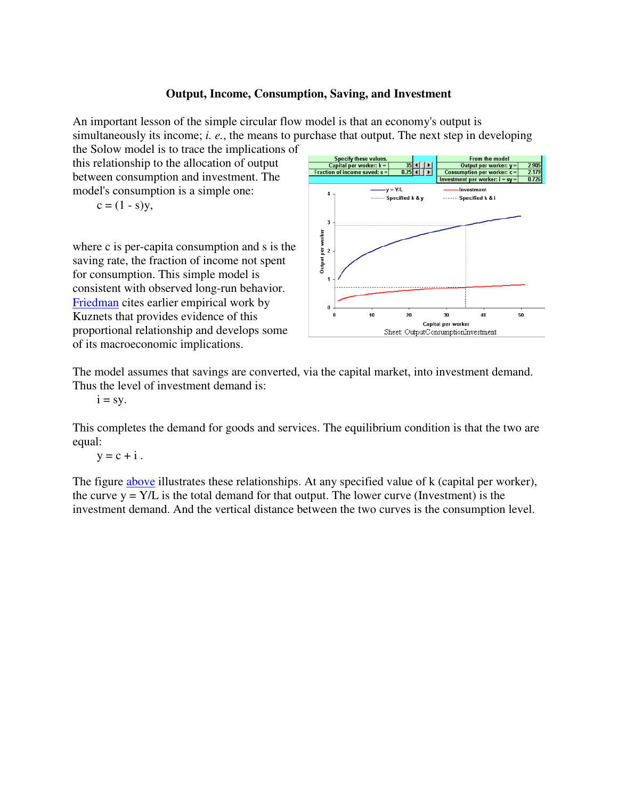## **Output, Income, Consumption, Saving, and Investment**

An important lesson of the simple circular flow model is that an economy's output is simultaneously its income; *i. e.*, the means to purchase that output. The next step in developing the Solow model is to trace the implications of

this relationship to the allocation of output between consumption and investment. The model's consumption is a simple one:

$$
c = (1 - s)y,
$$

where c is per-capita consumption and s is the saving rate, the fraction of income not spent for consumption. This simple model is consistent with observed long-run behavior. Friedman cites earlier empirical work by Kuznets that provides evidence of this proportional relationship and develops some of its macroeconomic implications.



The model assumes that savings are converted, via the capital market, into investment demand. Thus the level of investment demand is:

 $i = sy$ .

This completes the demand for goods and services. The equilibrium condition is that the two are equal:

 $y = c + i$ .

The figure **above** illustrates these relationships. At any specified value of k (capital per worker), the curve  $y = Y/L$  is the total demand for that output. The lower curve (Investment) is the investment demand. And the vertical distance between the two curves is the consumption level.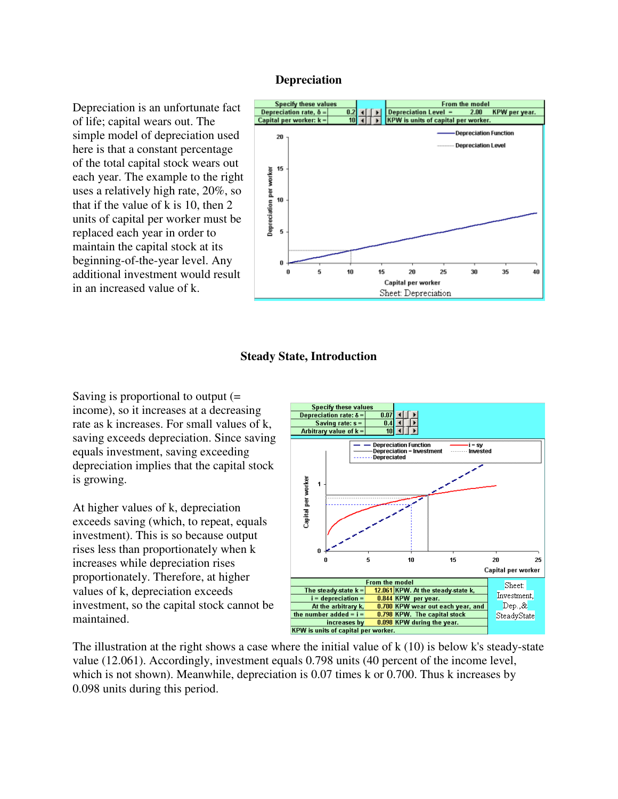#### **Depreciation**

Depreciation is an unfortunate fact of life; capital wears out. The simple model of depreciation used here is that a constant percentage of the total capital stock wears out each year. The example to the right uses a relatively high rate, 20%, so that if the value of k is 10, then 2 units of capital per worker must be replaced each year in order to maintain the capital stock at its beginning-of-the-year level. Any additional investment would result in an increased value of k.



### **Steady State, Introduction**

Saving is proportional to output (= income), so it increases at a decreasing rate as k increases. For small values of k, saving exceeds depreciation. Since saving equals investment, saving exceeding depreciation implies that the capital stock is growing.

At higher values of k, depreciation exceeds saving (which, to repeat, equals investment). This is so because output rises less than proportionately when k increases while depreciation rises proportionately. Therefore, at higher values of k, depreciation exceeds investment, so the capital stock cannot be maintained.



The illustration at the right shows a case where the initial value of  $k(10)$  is below k's steady-state value (12.061). Accordingly, investment equals 0.798 units (40 percent of the income level, which is not shown). Meanwhile, depreciation is 0.07 times k or 0.700. Thus k increases by 0.098 units during this period.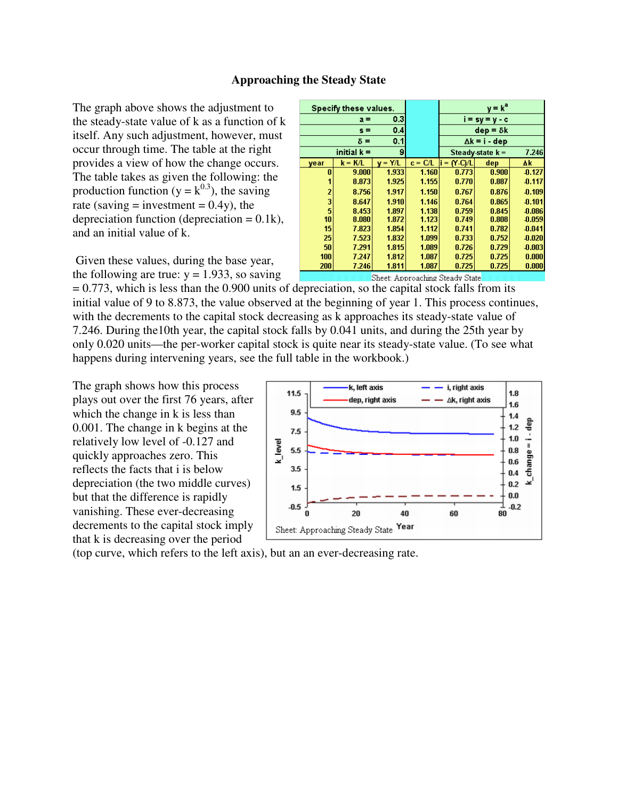#### **Approaching the Steady State**

The graph above shows the adjustment to the steady-state value of k as a function of k itself. Any such adjustment, however, must occur through time. The table at the right provides a view of how the change occurs. The table takes as given the following: the production function ( $y = k^{0.3}$ ), the saving rate (saving  $=$  investment  $= 0.4y$ ), the depreciation function (depreciation  $= 0.1k$ ), and an initial value of k.

 Given these values, during the base year, the following are true:  $y = 1.933$ , so saving

| Specify these values.            |               |         |           |                  | $y = ka$             |          |
|----------------------------------|---------------|---------|-----------|------------------|----------------------|----------|
| 0.3<br>$a =$                     |               |         |           |                  | $i = sy = y - c$     |          |
|                                  | $s =$         | 0.4     |           |                  | $dep = δk$           |          |
| 0.1<br>$\delta =$                |               |         |           |                  | $\Delta k = i - dep$ |          |
|                                  | initial $k =$ | 9       |           |                  | Steady-state $k =$   | 7.246    |
| year                             | k = K/L       | $= Y/L$ | $c = C/L$ | $N$ -Ci/L<br>i = | dep                  | Δk       |
| Л                                | 9.000         | 1.933   | 1.160     | 0.773            | 0.900                | $-0.127$ |
|                                  | 8.873         | 1.925   | 1.155     | 0.770            | 0.887                | $-0.117$ |
| 2                                | 8.756         | 1.917   | 1.150     | 0.767            | 0.876                | $-0.109$ |
| 3                                | 8.647         | 1.910   | 1.146     | 0.764            | 0.865                | $-0.101$ |
| 5                                | 8.453         | 1.897   | 1.138     | 0.759            | 0.845                | $-0.086$ |
| 10                               | 8.080         | 1.872   | 1.123     | 0.749            | 0.808                | $-0.059$ |
| 15                               | 7.823         | 1.854   | 1.112     | 0.741            | 0.782                | $-0.041$ |
| 25                               | 7.523         | 1.832   | 1.099     | 0.733            | 0.752                | $-0.020$ |
| 50                               | 7.291         | 1.815   | 1.089     | 0.726            | 0.729                | $-0.003$ |
| 100                              | 7.247         | 1.812   | 1.087     | 0.725            | 0.725                | 0.000    |
| 200                              | 7.246         | 1.811   | 1.087     | 0.725            | 0.725                | 0.000    |
| Charles American Charles Charles |               |         |           |                  |                      |          |

Sheet: Approaching Steady Sta

 $= 0.773$ , which is less than the 0.900 units of depreciation, so the capital stock falls from its initial value of 9 to 8.873, the value observed at the beginning of year 1. This process continues, with the decrements to the capital stock decreasing as k approaches its steady-state value of 7.246. During the10th year, the capital stock falls by 0.041 units, and during the 25th year by only 0.020 units—the per-worker capital stock is quite near its steady-state value. (To see what happens during intervening years, see the full table in the workbook.)

The graph shows how this process plays out over the first 76 years, after which the change in k is less than 0.001. The change in k begins at the relatively low level of -0.127 and quickly approaches zero. This reflects the facts that i is below depreciation (the two middle curves) but that the difference is rapidly vanishing. These ever-decreasing decrements to the capital stock imply that k is decreasing over the period



(top curve, which refers to the left axis), but an an ever-decreasing rate.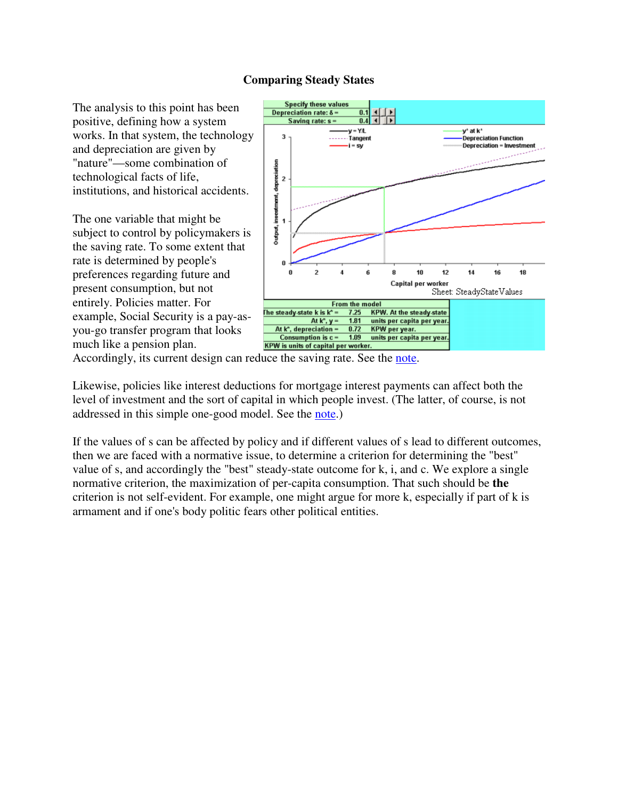# **Comparing Steady States**

The analysis to this point has been positive, defining how a system works. In that system, the technology and depreciation are given by "nature"—some combination of technological facts of life, institutions, and historical accidents.

The one variable that might be subject to control by policymakers is the saving rate. To some extent that rate is determined by people's preferences regarding future and present consumption, but not entirely. Policies matter. For example, Social Security is a pay-asyou-go transfer program that looks much like a pension plan.



Accordingly, its current design can reduce the saving rate. See the note.

Likewise, policies like interest deductions for mortgage interest payments can affect both the level of investment and the sort of capital in which people invest. (The latter, of course, is not addressed in this simple one-good model. See the note.)

If the values of s can be affected by policy and if different values of s lead to different outcomes, then we are faced with a normative issue, to determine a criterion for determining the "best" value of s, and accordingly the "best" steady-state outcome for k, i, and c. We explore a single normative criterion, the maximization of per-capita consumption. That such should be **the** criterion is not self-evident. For example, one might argue for more k, especially if part of k is armament and if one's body politic fears other political entities.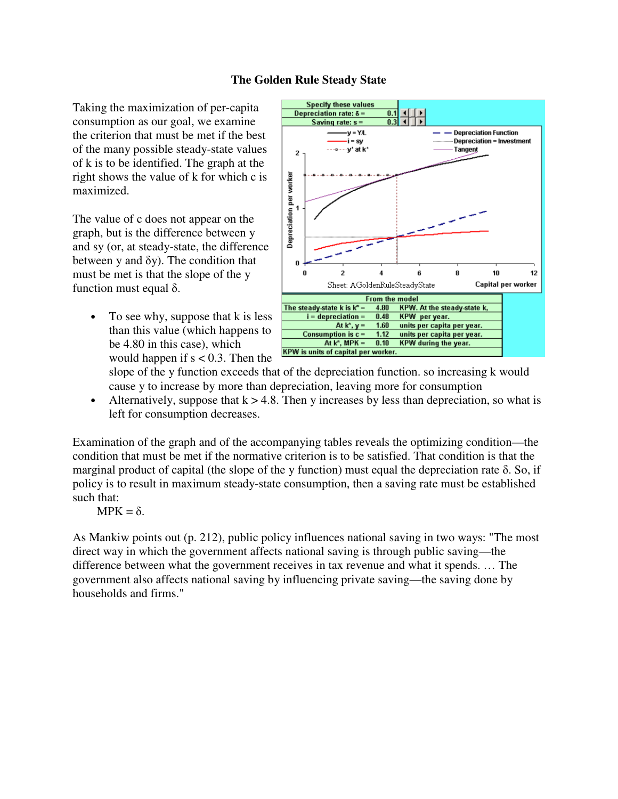## **The Golden Rule Steady State**

Taking the maximization of per-capita consumption as our goal, we examine the criterion that must be met if the best of the many possible steady-state values of k is to be identified. The graph at the right shows the value of k for which c is maximized.

The value of c does not appear on the graph, but is the difference between y and sy (or, at steady-state, the difference between y and  $\delta y$ ). The condition that must be met is that the slope of the y function must equal δ.

To see why, suppose that k is less than this value (which happens to be 4.80 in this case), which would happen if  $s < 0.3$ . Then the



slope of the y function exceeds that of the depreciation function. so increasing k would cause y to increase by more than depreciation, leaving more for consumption

• Alternatively, suppose that  $k > 4.8$ . Then y increases by less than depreciation, so what is left for consumption decreases.

Examination of the graph and of the accompanying tables reveals the optimizing condition—the condition that must be met if the normative criterion is to be satisfied. That condition is that the marginal product of capital (the slope of the y function) must equal the depreciation rate  $\delta$ . So, if policy is to result in maximum steady-state consumption, then a saving rate must be established such that:

 $MPK = δ$ .

As Mankiw points out (p. 212), public policy influences national saving in two ways: "The most direct way in which the government affects national saving is through public saving—the difference between what the government receives in tax revenue and what it spends. … The government also affects national saving by influencing private saving—the saving done by households and firms."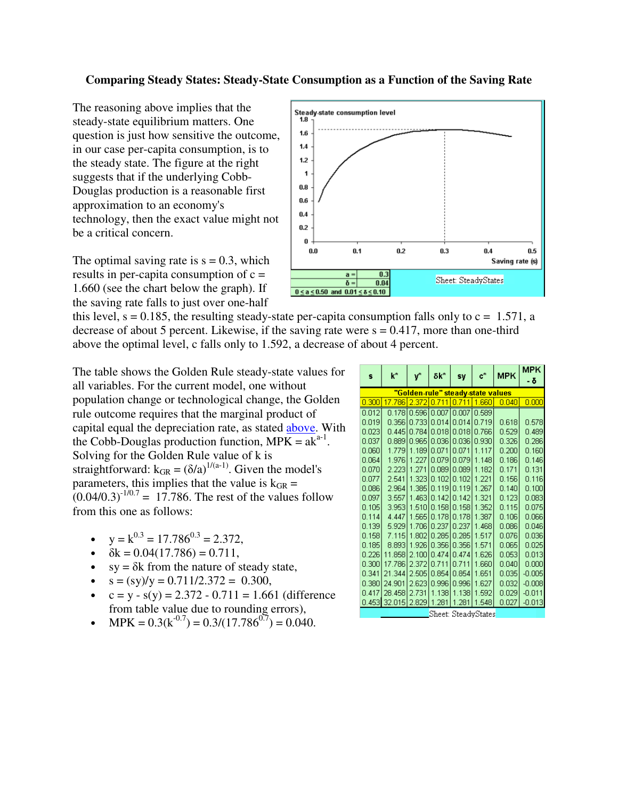## **Comparing Steady States: Steady-State Consumption as a Function of the Saving Rate**

The reasoning above implies that the steady-state equilibrium matters. One question is just how sensitive the outcome, in our case per-capita consumption, is to the steady state. The figure at the right suggests that if the underlying Cobb-Douglas production is a reasonable first approximation to an economy's technology, then the exact value might not be a critical concern.

The optimal saving rate is  $s = 0.3$ , which results in per-capita consumption of  $c =$ 1.660 (see the chart below the graph). If the saving rate falls to just over one-half



this level,  $s = 0.185$ , the resulting steady-state per-capita consumption falls only to  $c = 1.571$ , a decrease of about 5 percent. Likewise, if the saving rate were  $s = 0.417$ , more than one-third above the optimal level, c falls only to 1.592, a decrease of about 4 percent.

The table shows the Golden Rule steady-state values for all variables. For the current model, one without population change or technological change, the Golden rule outcome requires that the marginal product of capital equal the depreciation rate, as stated above. With the Cobb-Douglas production function,  $MPK = ak^{a-1}$ . Solving for the Golden Rule value of k is straightforward:  $k_{GR} = (\delta/a)^{1/(a-1)}$ . Given the model's parameters, this implies that the value is  $k_{GR}$  =  $(0.04/0.3)^{-1/0.7} = 17.786$ . The rest of the values follow from this one as follows:

- $y = k^{0.3} = 17.786^{0.3} = 2.372$ ,
- $\delta k = 0.04(17.786) = 0.711$ ,
- $sy = \delta k$  from the nature of steady state,
- $s = (sy)/y = 0.711/2.372 = 0.300$ ,
- $c = y s(y) = 2.372 0.711 = 1.661$  (difference from table value due to rounding errors),
- $MPK = 0.3(k^{0.7}) = 0.3/(17.786^{0.7}) = 0.040.$

| s                                 | $k^*$                          | Ý             | δk*                                   | sv.           | $\mathbf{c}^*$ | <b>MPK</b> | <b>MPK</b><br>- δ |
|-----------------------------------|--------------------------------|---------------|---------------------------------------|---------------|----------------|------------|-------------------|
| "Golden-rule" steady-state values |                                |               |                                       |               |                |            |                   |
| 0.300                             | 17.786 2.372 0.711 0.711 1.660 |               |                                       |               |                | 0.040      | 0.000             |
| 0.012                             |                                |               | 0.178   0.596   0.007   0.007   0.589 |               |                |            |                   |
| 0.019                             |                                |               | 0.356 0.733 0.014 0.014 0.719         |               |                | 0.618      | 0.578             |
| 0.023                             | 0.445                          | 0.784         |                                       | 0.018[0.018]  | 0.766          | 0.529      | 0.489             |
| 0.037                             |                                | 0.889 0.965 1 |                                       | 0.03610.036   | 0.930          | 0.326      | 0.286             |
| 0.060                             |                                |               | 1.779 1.189 0.071 0.071               |               | 1.117          | 0.200      | 0.160             |
| 0.064                             | 1.9761                         | 1.227         | 0.0791                                | 0.079         | 1.148          | 0.186      | 0.146             |
| 0.070                             |                                | 2.223 1.271   |                                       | 0.089   0.089 | 1.182          | 0.171      | 0.131             |
| 0.077                             | 2.541                          | 1.323         | 0.102                                 | 10.102        | 1.221          | 0.156      | 0.116             |
| 0.086                             | 2.9641                         | 1.385         |                                       | 0.119 0.119   | 1.267          | 0.140      | 0.100             |
| 0.097                             | 3.557                          |               | 1.463 0.142 0.142                     |               | 1.321          | 0.123      | 0.083             |
| 0.105                             |                                | 3.953   1.510 |                                       | 0.158[0.158]  | 1.352          | 0.115      | 0.075             |
| 0.114                             |                                | 4.447 1.565   |                                       | 0.178 0.178   | 1.387          | 0.106      | 0.066             |
| 0.139                             | 5.929                          | 1.706         |                                       | 0.237 0.237   | 1.468          | 0.086      | 0.046             |
| 0.158                             |                                | 7.115 1.802   |                                       | 0.285   0.285 | 1.517          | 0.076      | 0.036             |
| 0.185                             | 8.893                          | 1.926         |                                       | 0.356 0.356   | 1.571          | 0.065      | 0.025             |
| 0.226                             | 11.858                         | 2.100         | 0.474                                 | 0.474         | 1.626          | 0.053      | 0.013             |
| 0.300                             | 17.786                         | 2.372         | 0.711                                 | 0.711         | 1.660          | 0.040      | 0.000             |
| 0.341                             | 21.344                         | 2.505         |                                       | 0.854 0.854   | 1.651          | 0.035      | $-0.005$          |
| 0.380                             | 24.901                         | 2.623         | 0.996                                 | 0.996         | 1.627          | 0.032      | $-0.008$          |
| 0.417                             | 28.458 2.731                   |               | 1.138                                 | 1.138         | 1.592          | 0.029      | $-0.011$          |
|                                   | 0.453 32.015 2.829             |               | 1.281                                 | 1.281         | 1.548          | 0.027      | $-0.013$          |
| Sheet: SteadyStates               |                                |               |                                       |               |                |            |                   |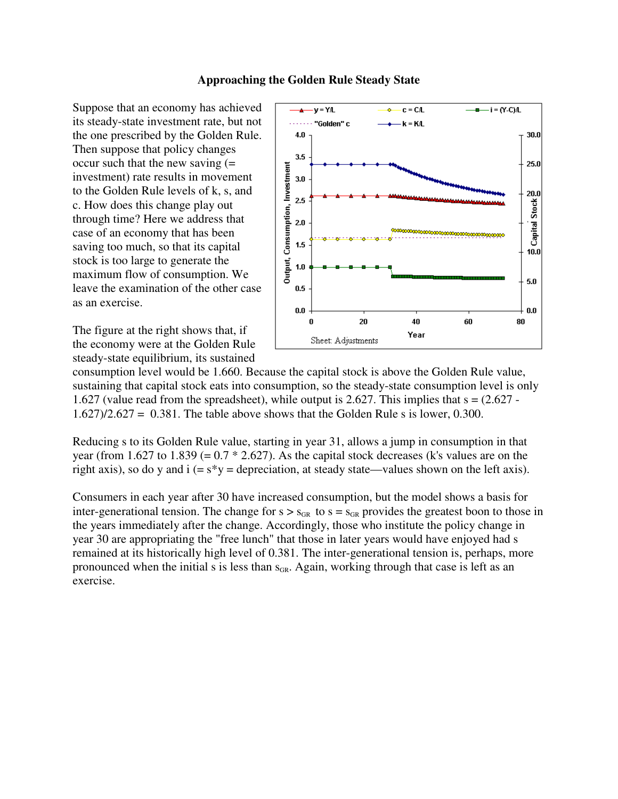### **Approaching the Golden Rule Steady State**

Suppose that an economy has achieved its steady-state investment rate, but not the one prescribed by the Golden Rule. Then suppose that policy changes occur such that the new saving  $(=$ investment) rate results in movement to the Golden Rule levels of k, s, and c. How does this change play out through time? Here we address that case of an economy that has been saving too much, so that its capital stock is too large to generate the maximum flow of consumption. We leave the examination of the other case as an exercise.

The figure at the right shows that, if the economy were at the Golden Rule steady-state equilibrium, its sustained



consumption level would be 1.660. Because the capital stock is above the Golden Rule value, sustaining that capital stock eats into consumption, so the steady-state consumption level is only 1.627 (value read from the spreadsheet), while output is 2.627. This implies that  $s = (2.627 - 1.627)$  $1.627$ / $2.627 = 0.381$ . The table above shows that the Golden Rule s is lower, 0.300.

Reducing s to its Golden Rule value, starting in year 31, allows a jump in consumption in that year (from 1.627 to 1.839 (=  $0.7 * 2.627$ ). As the capital stock decreases (k's values are on the right axis), so do y and  $i (= s^*y =$  depreciation, at steady state—values shown on the left axis).

Consumers in each year after 30 have increased consumption, but the model shows a basis for inter-generational tension. The change for  $s > s_{GR}$  to  $s = s_{GR}$  provides the greatest boon to those in the years immediately after the change. Accordingly, those who institute the policy change in year 30 are appropriating the "free lunch" that those in later years would have enjoyed had s remained at its historically high level of 0.381. The inter-generational tension is, perhaps, more pronounced when the initial s is less than  $s_{GR}$ . Again, working through that case is left as an exercise.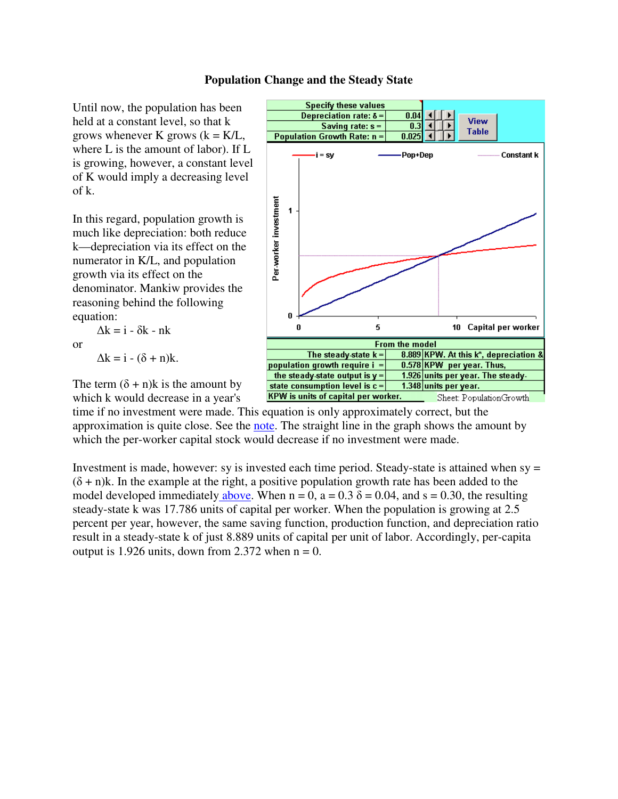### **Population Change and the Steady State**

Until now, the population has been held at a constant level, so that k grows whenever K grows  $(k = K/L)$ , where L is the amount of labor). If L is growing, however, a constant level of K would imply a decreasing level of k.

In this regard, population growth is much like depreciation: both reduce k—depreciation via its effect on the numerator in K/L, and population growth via its effect on the denominator. Mankiw provides the reasoning behind the following equation:

or

$$
\Delta k = i - (\delta + n)k.
$$

 $\Delta k = i - \delta k - nk$ 

**Specify these values** Depreciation rate:  $\delta$  =  $0.04$ View Saving rate:  $s =$  $0.3$ **Table Population Growth Rate: n =**  $0.025$  $\mathbf{i} = \mathbf{s}\mathbf{v}$ Pop+Dep **Constant k** Per-worker investment  $\ddot{\mathbf{1}}$ n 5 0 10 Capital per worker **From the model** 8.889 KPW. At this k\*, depreciation & The steady-state  $k =$ 0.578 KPW per year. Thus, population growth require i = 1.926 units per year. The steadythe steady-state output is  $y =$ state consumption level is  $c =$ 1.348 units per year. KPW is units of capital per worker. Sheet: PopulationGrowth

which k would decrease in a year's

time if no investment were made. This equation is only approximately correct, but the approximation is quite close. See the note. The straight line in the graph shows the amount by which the per-worker capital stock would decrease if no investment were made.

Investment is made, however: sy is invested each time period. Steady-state is attained when sy =  $(\delta + n)$ k. In the example at the right, a positive population growth rate has been added to the model developed immediately above. When  $n = 0$ ,  $a = 0.3$   $\delta = 0.04$ , and  $s = 0.30$ , the resulting steady-state k was 17.786 units of capital per worker. When the population is growing at 2.5 percent per year, however, the same saving function, production function, and depreciation ratio result in a steady-state k of just 8.889 units of capital per unit of labor. Accordingly, per-capita output is 1.926 units, down from 2.372 when  $n = 0$ .

The term  $(\delta + n)$ k is the amount by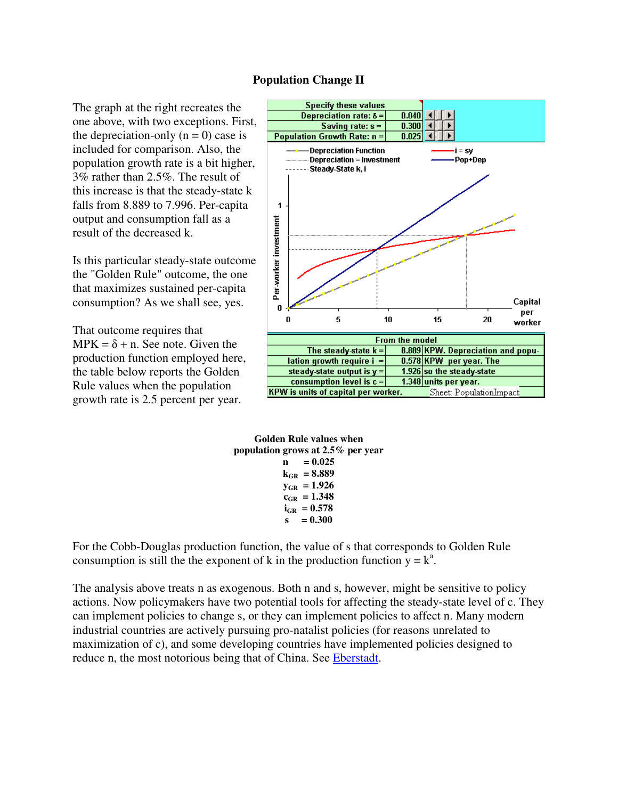#### **Population Change II**

The graph at the right recreates the one above, with two exceptions. First, the depreciation-only  $(n = 0)$  case is included for comparison. Also, the population growth rate is a bit higher, 3% rather than 2.5%. The result of this increase is that the steady-state k falls from 8.889 to 7.996. Per-capita output and consumption fall as a result of the decreased k.

Is this particular steady-state outcome the "Golden Rule" outcome, the one that maximizes sustained per-capita consumption? As we shall see, yes.

That outcome requires that  $MPK = \delta + n$ . See note. Given the production function employed here, the table below reports the Golden Rule values when the population growth rate is 2.5 percent per year.



**Golden Rule values when population grows at 2.5% per year**   $n = 0.025$  $k_{GB} = 8.889$  $y_{GR} = 1.926$  $c_{GR} = 1.348$  $i_{\text{GR}} = 0.578$  $s = 0.300$ 

For the Cobb-Douglas production function, the value of s that corresponds to Golden Rule consumption is still the the exponent of k in the production function  $y = k^a$ .

The analysis above treats n as exogenous. Both n and s, however, might be sensitive to policy actions. Now policymakers have two potential tools for affecting the steady-state level of c. They can implement policies to change s, or they can implement policies to affect n. Many modern industrial countries are actively pursuing pro-natalist policies (for reasons unrelated to maximization of c), and some developing countries have implemented policies designed to reduce n, the most notorious being that of China. See Eberstadt.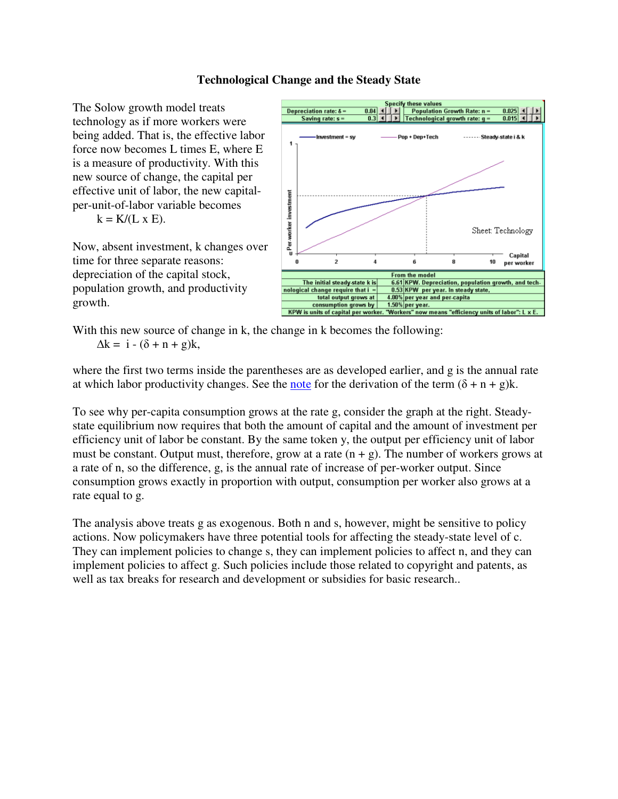## **Technological Change and the Steady State**

The Solow growth model treats technology as if more workers were being added. That is, the effective labor force now becomes L times E, where E is a measure of productivity. With this new source of change, the capital per effective unit of labor, the new capitalper-unit-of-labor variable becomes

 $k = K/(L \times E)$ .

Now, absent investment, k changes over time for three separate reasons: depreciation of the capital stock, population growth, and productivity growth.



With this new source of change in k, the change in k becomes the following:  $\Delta k = i - (\delta + n + g)k$ ,

where the first two terms inside the parentheses are as developed earlier, and g is the annual rate at which labor productivity changes. See the note for the derivation of the term  $(\delta + n + g)k$ .

To see why per-capita consumption grows at the rate g, consider the graph at the right. Steadystate equilibrium now requires that both the amount of capital and the amount of investment per efficiency unit of labor be constant. By the same token y, the output per efficiency unit of labor must be constant. Output must, therefore, grow at a rate  $(n + g)$ . The number of workers grows at a rate of n, so the difference, g, is the annual rate of increase of per-worker output. Since consumption grows exactly in proportion with output, consumption per worker also grows at a rate equal to g.

The analysis above treats g as exogenous. Both n and s, however, might be sensitive to policy actions. Now policymakers have three potential tools for affecting the steady-state level of c. They can implement policies to change s, they can implement policies to affect n, and they can implement policies to affect g. Such policies include those related to copyright and patents, as well as tax breaks for research and development or subsidies for basic research..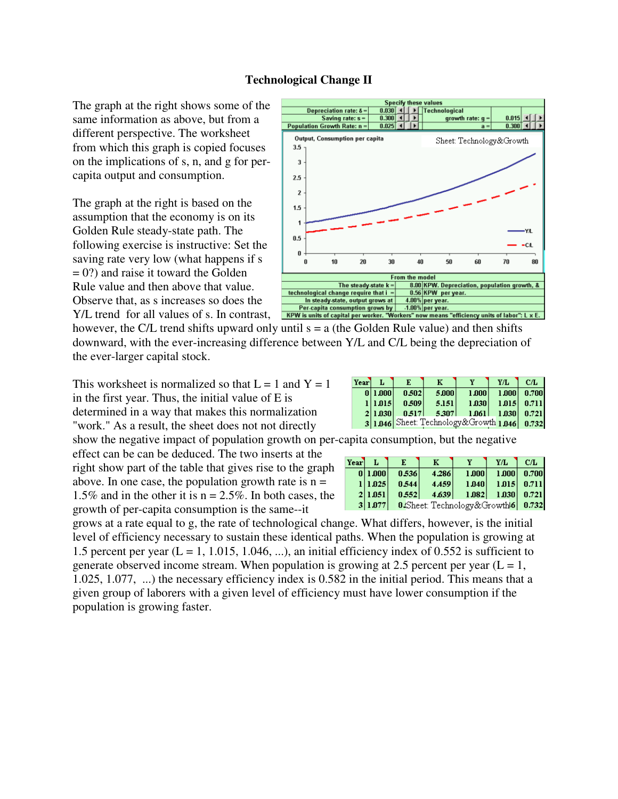### **Technological Change II**

The graph at the right shows some of the same information as above, but from a different perspective. The worksheet from which this graph is copied focuses on the implications of s, n, and g for percapita output and consumption.

The graph at the right is based on the assumption that the economy is on its Golden Rule steady-state path. The following exercise is instructive: Set the saving rate very low (what happens if s = 0?) and raise it toward the Golden Rule value and then above that value. Observe that, as s increases so does the Y/L trend for all values of s. In contrast,



however, the C/L trend shifts upward only until  $s = a$  (the Golden Rule value) and then shifts downward, with the ever-increasing difference between Y/L and C/L being the depreciation of the ever-larger capital stock.

This worksheet is normalized so that  $L = 1$  and  $Y = 1$ in the first year. Thus, the initial value of E is determined in a way that makes this normalization "work." As a result, the sheet does not not directly

show the negative impact of population growth on per-capita consumption, but the negative

effect can be can be deduced. The two inserts at the right show part of the table that gives rise to the graph above. In one case, the population growth rate is  $n =$ 1.5% and in the other it is  $n = 2.5\%$ . In both cases, the growth of per-capita consumption is the same--it

| Year L |         | E     | к                                 | v     | Y/L                 | CL              |
|--------|---------|-------|-----------------------------------|-------|---------------------|-----------------|
|        | 0 1.000 | 0.536 | 4.286                             | 1,000 |                     | $1.000$ 0.700   |
|        | 1 1.025 | 0.544 | 4.459                             | 1.040 |                     | $ 1.015 $ 0.711 |
|        | 2 1.051 | 0.552 | 4.639                             |       | $1.082$ 1.030 0.721 |                 |
|        | 3 1.077 |       | 0.Sheet: Technology&Growth6 0.732 |       |                     |                 |

grows at a rate equal to g, the rate of technological change. What differs, however, is the initial level of efficiency necessary to sustain these identical paths. When the population is growing at 1.5 percent per year  $(L = 1, 1.015, 1.046, ...)$ , an initial efficiency index of 0.552 is sufficient to generate observed income stream. When population is growing at 2.5 percent per year  $(L = 1,$ 1.025, 1.077, ...) the necessary efficiency index is 0.582 in the initial period. This means that a given group of laborers with a given level of efficiency must have lower consumption if the population is growing faster.

| Year L |         | E     | к     |                                              | Y/L                       | CL            |
|--------|---------|-------|-------|----------------------------------------------|---------------------------|---------------|
|        | 0 1.000 | 0.502 | 5,000 | 1,000                                        |                           | 1.000   0.700 |
|        | 1 1.015 | 0.509 | 5.151 |                                              | $ 1.030 $ $ 1.015 $ 0.711 |               |
|        | 2 1.030 |       |       |                                              |                           |               |
|        |         |       |       | 3 1.046 Sheet: Technology&Growth 1.046 0.732 |                           |               |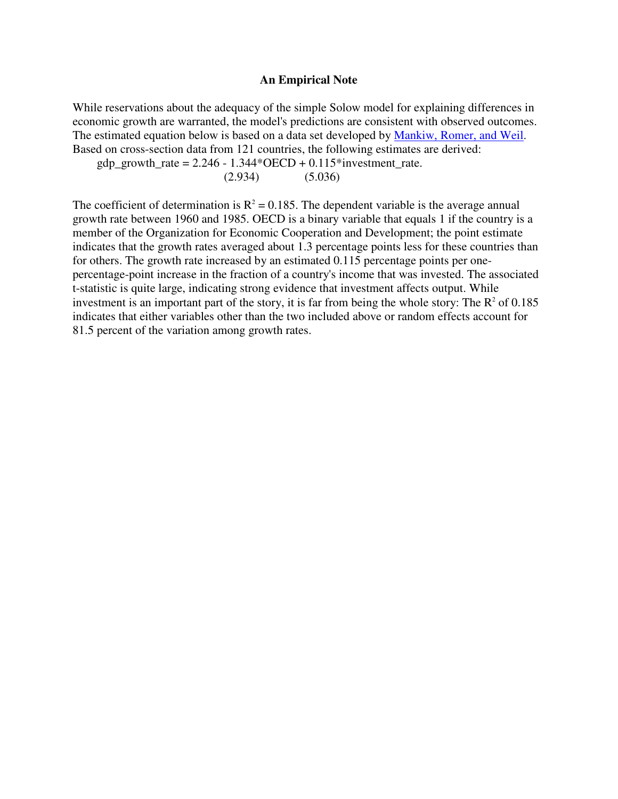#### **An Empirical Note**

While reservations about the adequacy of the simple Solow model for explaining differences in economic growth are warranted, the model's predictions are consistent with observed outcomes. The estimated equation below is based on a data set developed by Mankiw, Romer, and Weil. Based on cross-section data from 121 countries, the following estimates are derived:

gdp\_growth\_rate =  $2.246 - 1.344*OECD + 0.115*$ investment\_rate.

(2.934) (5.036)

The coefficient of determination is  $R^2 = 0.185$ . The dependent variable is the average annual growth rate between 1960 and 1985. OECD is a binary variable that equals 1 if the country is a member of the Organization for Economic Cooperation and Development; the point estimate indicates that the growth rates averaged about 1.3 percentage points less for these countries than for others. The growth rate increased by an estimated 0.115 percentage points per onepercentage-point increase in the fraction of a country's income that was invested. The associated t-statistic is quite large, indicating strong evidence that investment affects output. While investment is an important part of the story, it is far from being the whole story: The  $R^2$  of 0.185 indicates that either variables other than the two included above or random effects account for 81.5 percent of the variation among growth rates.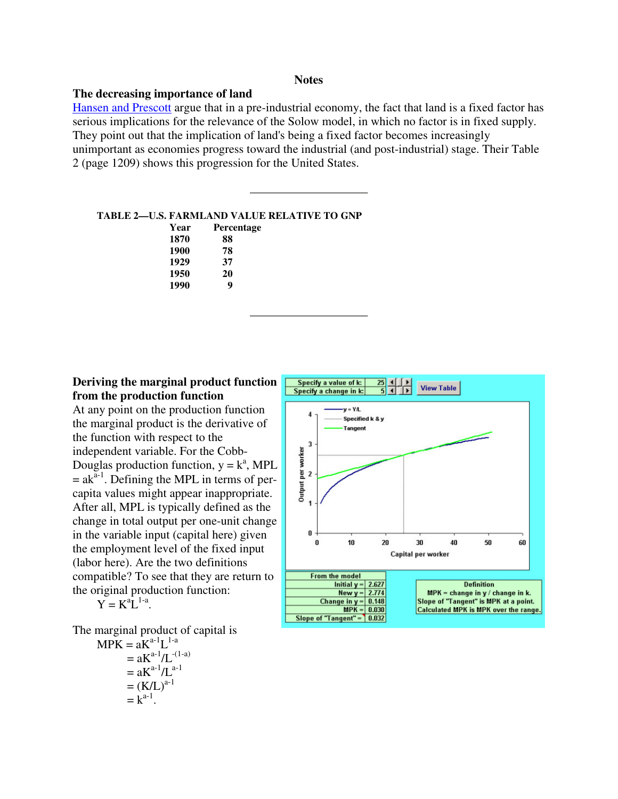#### **Notes**

#### **The decreasing importance of land**

Hansen and Prescott argue that in a pre-industrial economy, the fact that land is a fixed factor has serious implications for the relevance of the Solow model, in which no factor is in fixed supply. They point out that the implication of land's being a fixed factor becomes increasingly unimportant as economies progress toward the industrial (and post-industrial) stage. Their Table 2 (page 1209) shows this progression for the United States.

#### **TABLE 2—U.S. FARMLAND VALUE RELATIVE TO GNP**

| Year | <b>Percentage</b> |
|------|-------------------|
| 1870 | 88                |
| 1900 | 78                |
| 1929 | 37                |
| 1950 | 20                |
| 1990 | q                 |

# **Deriving the marginal product function from the production function**

At any point on the production function the marginal product is the derivative of the function with respect to the independent variable. For the Cobb-Douglas production function,  $y = k^a$ , MPL  $=$  ak<sup> $a-1$ </sup>. Defining the MPL in terms of percapita values might appear inappropriate. After all, MPL is typically defined as the change in total output per one-unit change in the variable input (capital here) given the employment level of the fixed input (labor here). Are the two definitions compatible? To see that they are return to the original production function:

$$
Y = K^a L^{1-a}
$$

The marginal product of capital is

.

$$
MPK = aKa-1L1-a
$$
  
=  $aKa-1/L-(1-a)$   
=  $aKa-1/La-1$   
=  $(K/L)a-1$   
=  $ka-1$ .

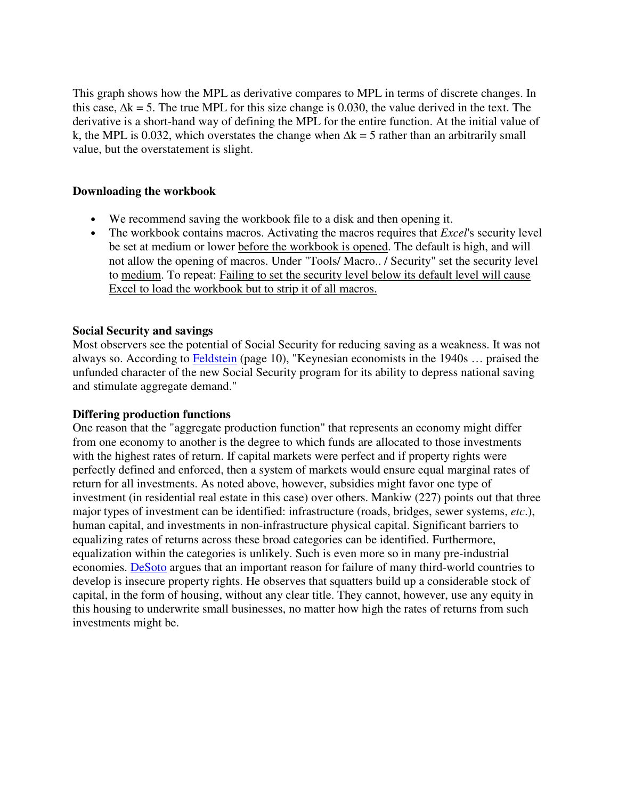This graph shows how the MPL as derivative compares to MPL in terms of discrete changes. In this case,  $\Delta k = 5$ . The true MPL for this size change is 0.030, the value derived in the text. The derivative is a short-hand way of defining the MPL for the entire function. At the initial value of k, the MPL is 0.032, which overstates the change when  $\Delta k = 5$  rather than an arbitrarily small value, but the overstatement is slight.

## **Downloading the workbook**

- We recommend saving the workbook file to a disk and then opening it.
- The workbook contains macros. Activating the macros requires that *Excel*'s security level be set at medium or lower before the workbook is opened. The default is high, and will not allow the opening of macros. Under "Tools/ Macro.. / Security" set the security level to medium. To repeat: Failing to set the security level below its default level will cause Excel to load the workbook but to strip it of all macros.

# **Social Security and savings**

Most observers see the potential of Social Security for reducing saving as a weakness. It was not always so. According to Feldstein (page 10), "Keynesian economists in the 1940s … praised the unfunded character of the new Social Security program for its ability to depress national saving and stimulate aggregate demand."

### **Differing production functions**

One reason that the "aggregate production function" that represents an economy might differ from one economy to another is the degree to which funds are allocated to those investments with the highest rates of return. If capital markets were perfect and if property rights were perfectly defined and enforced, then a system of markets would ensure equal marginal rates of return for all investments. As noted above, however, subsidies might favor one type of investment (in residential real estate in this case) over others. Mankiw (227) points out that three major types of investment can be identified: infrastructure (roads, bridges, sewer systems, *etc*.), human capital, and investments in non-infrastructure physical capital. Significant barriers to equalizing rates of returns across these broad categories can be identified. Furthermore, equalization within the categories is unlikely. Such is even more so in many pre-industrial economies. DeSoto argues that an important reason for failure of many third-world countries to develop is insecure property rights. He observes that squatters build up a considerable stock of capital, in the form of housing, without any clear title. They cannot, however, use any equity in this housing to underwrite small businesses, no matter how high the rates of returns from such investments might be.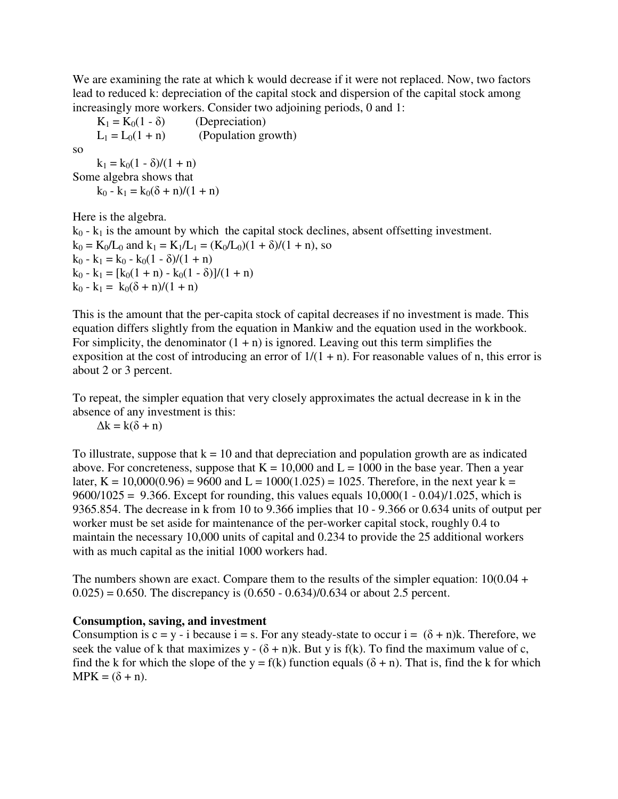We are examining the rate at which k would decrease if it were not replaced. Now, two factors lead to reduced k: depreciation of the capital stock and dispersion of the capital stock among increasingly more workers. Consider two adjoining periods, 0 and 1:

 $K_1 = K_0(1 - \delta)$  (Depreciation)<br>  $L_1 = L_0(1 + n)$  (Population gre (Population growth) so  $k_1 = k_0(1 - \delta)/(1 + n)$ Some algebra shows that

 $k_0 - k_1 = k_0(\delta + n)/(1 + n)$ 

Here is the algebra.

 $k_0 - k_1$  is the amount by which the capital stock declines, absent offsetting investment.  $k_0 = K_0/L_0$  and  $k_1 = K_1/L_1 = (K_0/L_0)(1 + \delta)/(1 + n)$ , so  $k_0 - k_1 = k_0 - k_0(1 - \delta)/(1 + n)$  $k_0 - k_1 = [k_0(1 + n) - k_0(1 - \delta)]/(1 + n)$  $k_0 - k_1 = k_0(\delta + n)/(1 + n)$ 

This is the amount that the per-capita stock of capital decreases if no investment is made. This equation differs slightly from the equation in Mankiw and the equation used in the workbook. For simplicity, the denominator  $(1 + n)$  is ignored. Leaving out this term simplifies the exposition at the cost of introducing an error of  $1/(1 + n)$ . For reasonable values of n, this error is about 2 or 3 percent.

To repeat, the simpler equation that very closely approximates the actual decrease in k in the absence of any investment is this:

 $\Delta k = k(\delta + n)$ 

To illustrate, suppose that  $k = 10$  and that depreciation and population growth are as indicated above. For concreteness, suppose that  $K = 10,000$  and  $L = 1000$  in the base year. Then a year later, K =  $10,000(0.96)$  = 9600 and L =  $1000(1.025)$  = 1025. Therefore, in the next year k = 9600/1025 = 9.366. Except for rounding, this values equals  $10,000(1 - 0.04)/1.025$ , which is 9365.854. The decrease in k from 10 to 9.366 implies that 10 - 9.366 or 0.634 units of output per worker must be set aside for maintenance of the per-worker capital stock, roughly 0.4 to maintain the necessary 10,000 units of capital and 0.234 to provide the 25 additional workers with as much capital as the initial 1000 workers had.

The numbers shown are exact. Compare them to the results of the simpler equation:  $10(0.04 +$  $(0.025) = 0.650$ . The discrepancy is  $(0.650 - 0.634)/0.634$  or about 2.5 percent.

# **Consumption, saving, and investment**

Consumption is  $c = y - i$  because  $i = s$ . For any steady-state to occur  $i = (\delta + n)k$ . Therefore, we seek the value of k that maximizes y -  $(\delta + n)$ k. But y is f(k). To find the maximum value of c, find the k for which the slope of the y = f(k) function equals  $(\delta + n)$ . That is, find the k for which  $MPK = (\delta + n).$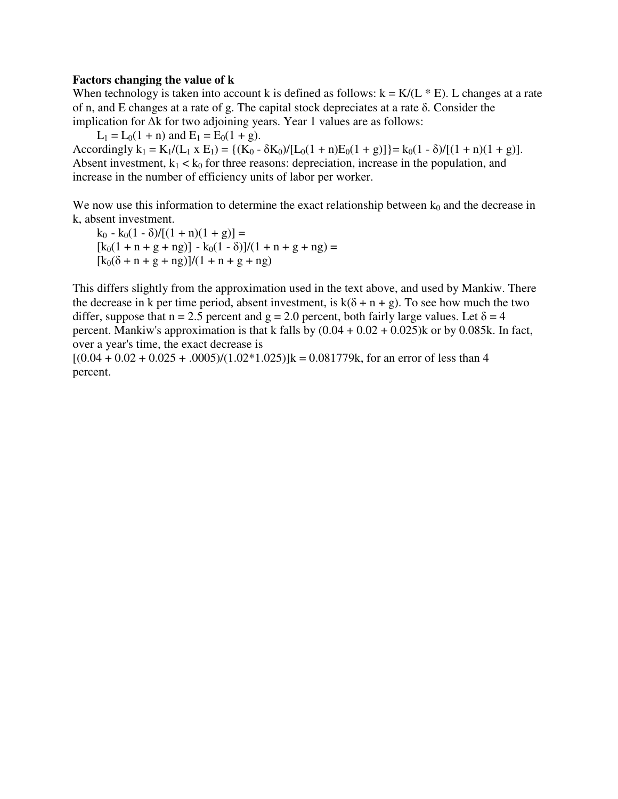#### **Factors changing the value of k**

When technology is taken into account k is defined as follows:  $k = K/(L * E)$ . L changes at a rate of n, and E changes at a rate of g. The capital stock depreciates at a rate δ. Consider the implication for ∆k for two adjoining years. Year 1 values are as follows:

 $L_1 = L_0(1 + n)$  and  $E_1 = E_0(1 + g)$ .

Accordingly  $k_1 = K_1/(L_1 \times E_1) = \{(K_0 - \delta K_0)/[L_0(1 + n)E_0(1 + g)]\} = k_0(1 - \delta)/[(1 + n)(1 + g)].$ Absent investment,  $k_1 < k_0$  for three reasons: depreciation, increase in the population, and increase in the number of efficiency units of labor per worker.

We now use this information to determine the exact relationship between  $k_0$  and the decrease in k, absent investment.

 $k_0 - k_0(1 - \delta)/[(1 + n)(1 + g)] =$  $[k_0(1 + n + g + ng)] - k_0(1 - \delta)]/(1 + n + g + ng) =$  $[k_0(\delta + n + g + ng)]/(1 + n + g + ng)$ 

This differs slightly from the approximation used in the text above, and used by Mankiw. There the decrease in k per time period, absent investment, is  $k(\delta + n + g)$ . To see how much the two differ, suppose that  $n = 2.5$  percent and  $g = 2.0$  percent, both fairly large values. Let  $\delta = 4$ percent. Mankiw's approximation is that k falls by  $(0.04 + 0.02 + 0.025)$ k or by 0.085k. In fact, over a year's time, the exact decrease is

 $[(0.04 + 0.02 + 0.025 + 0.005)/(1.02*1.025)]$ k = 0.081779k, for an error of less than 4 percent.